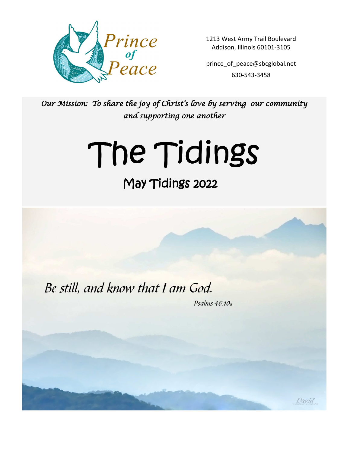

1213 West Army Trail Boulevard Addison, Illinois 60101-3105

prince of peace@sbcglobal.net 630-543-3458

Our Mission: To share the joy of Christ's love by serving our community and supporting one another

# The Tidings

# May Tidings 2022

Be still, and know that I am God.

Psalms  $46:10a$ 

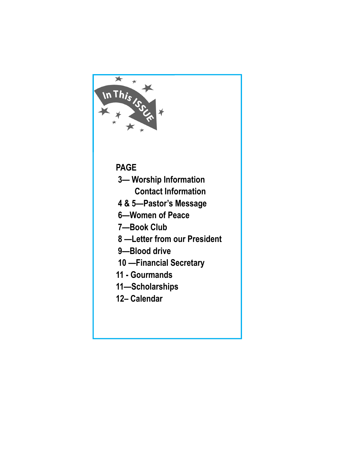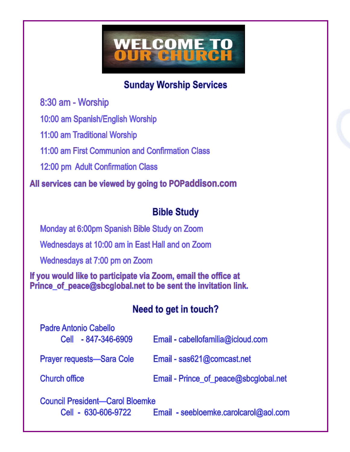# WELCOME TO<br>OUR CHURCH

**Sunday Worship Services** 

8:30 am - Worship

10:00 am Spanish/English Worship

11:00 am Traditional Worship

11:00 am First Communion and Confirmation Class

12:00 pm Adult Confirmation Class

All services can be viewed by going to POPaddison.com

### **Bible Study**

Monday at 6:00pm Spanish Bible Study on Zoom Wednesdays at 10:00 am in East Hall and on Zoom Wednesdays at 7:00 pm on Zoom

If you would like to participate via Zoom, email the office at Prince of peace@sbcglobal.net to be sent the invitation link.

### Need to get in touch?

| <b>Padre Antonio Cabello</b><br>Cell - 847-346-6909 | Email - cabellofamilia@icloud.com     |
|-----------------------------------------------------|---------------------------------------|
| <b>Prayer requests-Sara Cole</b>                    | Email - sas621@comcast.net            |
| <b>Church office</b>                                | Email - Prince_of_peace@sbcglobal.net |
| Caupel Procident Carol Plaamke                      |                                       |

Council President—Carol Bloemke Cell - 630-606-9722

Email - seebloemke.carolcarol@aol.com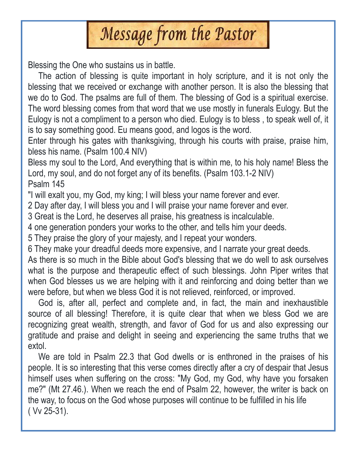

Blessing the One who sustains us in battle.

 The action of blessing is quite important in holy scripture, and it is not only the blessing that we received or exchange with another person. It is also the blessing that we do to God. The psalms are full of them. The blessing of God is a spiritual exercise. The word blessing comes from that word that we use mostly in funerals Eulogy. But the Eulogy is not a compliment to a person who died. Eulogy is to bless , to speak well of, it is to say something good. Eu means good, and logos is the word.

Enter through his gates with thanksgiving, through his courts with praise, praise him, bless his name. (Psalm 100.4 NIV)

Bless my soul to the Lord, And everything that is within me, to his holy name! Bless the Lord, my soul, and do not forget any of its benefits. (Psalm 103.1-2 NIV) Psalm 145

"I will exalt you, my God, my king; I will bless your name forever and ever.

2 Day after day, I will bless you and I will praise your name forever and ever.

3 Great is the Lord, he deserves all praise, his greatness is incalculable.

4 one generation ponders your works to the other, and tells him your deeds.

5 They praise the glory of your majesty, and I repeat your wonders.

6 They make your dreadful deeds more expensive, and I narrate your great deeds.

As there is so much in the Bible about God's blessing that we do well to ask ourselves what is the purpose and therapeutic effect of such blessings. John Piper writes that when God blesses us we are helping with it and reinforcing and doing better than we were before, but when we bless God it is not relieved, reinforced, or improved.

 God is, after all, perfect and complete and, in fact, the main and inexhaustible source of all blessing! Therefore, it is quite clear that when we bless God we are recognizing great wealth, strength, and favor of God for us and also expressing our gratitude and praise and delight in seeing and experiencing the same truths that we extol.

 We are told in Psalm 22.3 that God dwells or is enthroned in the praises of his people. It is so interesting that this verse comes directly after a cry of despair that Jesus himself uses when suffering on the cross: "My God, my God, why have you forsaken me?" (Mt 27.46.). When we reach the end of Psalm 22, however, the writer is back on the way, to focus on the God whose purposes will continue to be fulfilled in his life ( Vv 25-31).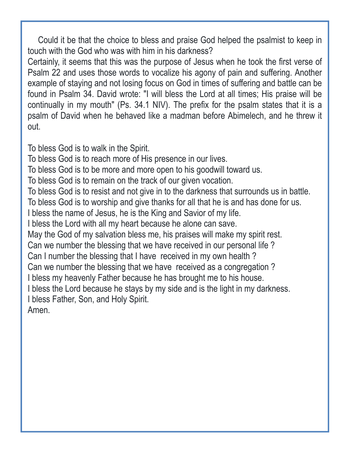Could it be that the choice to bless and praise God helped the psalmist to keep in touch with the God who was with him in his darkness?

Certainly, it seems that this was the purpose of Jesus when he took the first verse of Psalm 22 and uses those words to vocalize his agony of pain and suffering. Another example of staying and not losing focus on God in times of suffering and battle can be found in Psalm 34. David wrote: "I will bless the Lord at all times; His praise will be continually in my mouth" (Ps. 34.1 NIV). The prefix for the psalm states that it is a psalm of David when he behaved like a madman before Abimelech, and he threw it out.

To bless God is to walk in the Spirit.

To bless God is to reach more of His presence in our lives.

To bless God is to be more and more open to his goodwill toward us.

To bless God is to remain on the track of our given vocation.

To bless God is to resist and not give in to the darkness that surrounds us in battle.

To bless God is to worship and give thanks for all that he is and has done for us.

I bless the name of Jesus, he is the King and Savior of my life.

I bless the Lord with all my heart because he alone can save.

May the God of my salvation bless me, his praises will make my spirit rest.

Can we number the blessing that we have received in our personal life ?

Can I number the blessing that I have received in my own health ?

Can we number the blessing that we have received as a congregation ?

I bless my heavenly Father because he has brought me to his house.

I bless the Lord because he stays by my side and is the light in my darkness.

I bless Father, Son, and Holy Spirit.

Amen.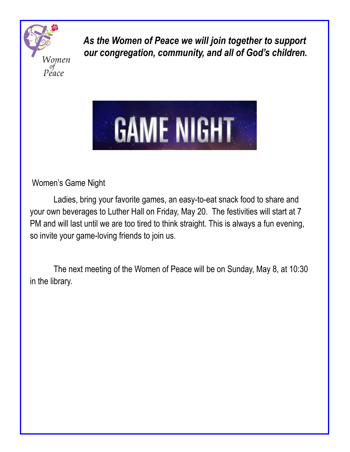

 *As the Women of Peace we will join together to support our congregation, community, and all of God's children.* 



Women's Game Night

 Ladies, bring your favorite games, an easy-to-eat snack food to share and your own beverages to Luther Hall on Friday, May 20. The festivities will start at 7 PM and will last until we are too tired to think straight. This is always a fun evening, so invite your game-loving friends to join us.

 The next meeting of the Women of Peace will be on Sunday, May 8, at 10:30 in the library.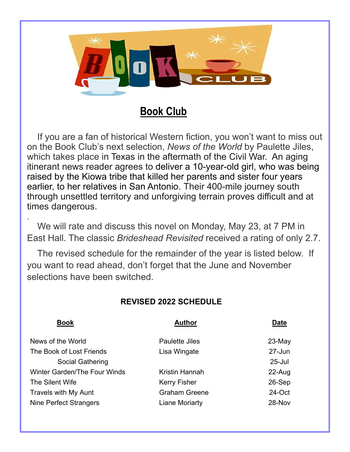

### **Book Club**

 If you are a fan of historical Western fiction, you won't want to miss out on the Book Club's next selection, *News of the World* by Paulette Jiles, which takes place in Texas in the aftermath of the Civil War. An aging itinerant news reader agrees to deliver a 10-year-old girl, who was being raised by the Kiowa tribe that killed her parents and sister four years earlier, to her relatives in San Antonio. Their 400-mile journey south through unsettled territory and unforgiving terrain proves difficult and at times dangerous.

. We will rate and discuss this novel on Monday, May 23, at 7 PM in East Hall. The classic *Brideshead Revisited* received a rating of only 2.7.

 The revised schedule for the remainder of the year is listed below. If you want to read ahead, don't forget that the June and November selections have been switched.

#### **REVISED 2022 SCHEDULE**

| <b>Book</b>                         | <b>Author</b>         | <b>Date</b> |  |  |
|-------------------------------------|-----------------------|-------------|--|--|
| News of the World                   | <b>Paulette Jiles</b> | $23-May$    |  |  |
| The Book of Lost Friends            | Lisa Wingate          | 27-Jun      |  |  |
| <b>Social Gathering</b>             |                       | $25 -$ Jul  |  |  |
| <b>Winter Garden/The Four Winds</b> | Kristin Hannah        | 22-Aug      |  |  |
| The Silent Wife                     | <b>Kerry Fisher</b>   | 26-Sep      |  |  |
| <b>Travels with My Aunt</b>         | <b>Graham Greene</b>  | 24-Oct      |  |  |
| Nine Perfect Strangers              | Liane Moriarty        | 28-Nov      |  |  |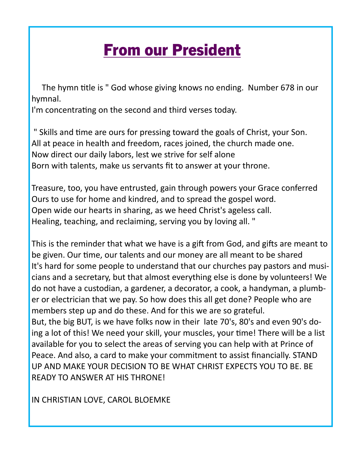# From our President

The hymn title is " God whose giving knows no ending. Number 678 in our hymnal.

I'm concentrating on the second and third verses today.

" Skills and time are ours for pressing toward the goals of Christ, your Son. All at peace in health and freedom, races joined, the church made one. Now direct our daily labors, lest we strive for self alone Born with talents, make us servants fit to answer at your throne.

Treasure, too, you have entrusted, gain through powers your Grace conferred Ours to use for home and kindred, and to spread the gospel word. Open wide our hearts in sharing, as we heed Christ's ageless call. Healing, teaching, and reclaiming, serving you by loving all. "

This is the reminder that what we have is a gift from God, and gifts are meant to be given. Our time, our talents and our money are all meant to be shared It's hard for some people to understand that our churches pay pastors and musicians and a secretary, but that almost everything else is done by volunteers! We do not have a custodian, a gardener, a decorator, a cook, a handyman, a plumber or electrician that we pay. So how does this all get done? People who are members step up and do these. And for this we are so grateful. But, the big BUT, is we have folks now in their late 70's, 80's and even 90's doing a lot of this! We need your skill, your muscles, your time! There will be a list available for you to select the areas of serving you can help with at Prince of Peace. And also, a card to make your commitment to assist financially. STAND UP AND MAKE YOUR DECISION TO BE WHAT CHRIST EXPECTS YOU TO BE. BE READY TO ANSWER AT HIS THRONE!

IN CHRISTIAN LOVE, CAROL BLOEMKE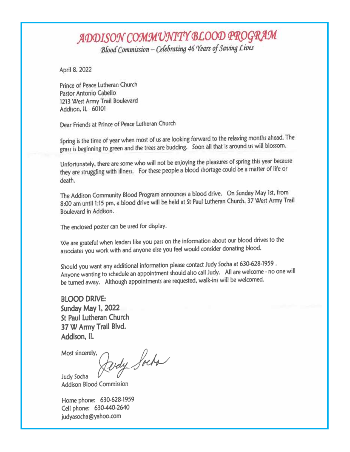# ADDISON COMMUNITY BLOOD PROGRAM

Blood Commission - Celebrating 46 Years of Saving Lives

April 8, 2022

Prince of Peace Lutheran Church Pastor Antonio Cabello 1213 West Army Trail Boulevard Addison, IL 60101

Dear Friends at Prince of Peace Lutheran Church

Spring is the time of year when most of us are looking forward to the relaxing months ahead. The grass is beginning to green and the trees are budding. Soon all that is around us will blossom.

Unfortunately, there are some who will not be enjoying the pleasures of spring this year because they are struggling with illness. For these people a blood shortage could be a matter of life or death.

The Addison Community Blood Program announces a blood drive. On Sunday May 1st, from 8:00 am until 1:15 pm, a blood drive will be held at St Paul Lutheran Church, 37 West Army Trail Boulevard in Addison.

The enclosed poster can be used for display.

We are grateful when leaders like you pass on the information about our blood drives to the associates you work with and anyone else you feel would consider donating blood.

Should you want any additional information please contact Judy Socha at 630-628-1959. Anyone wanting to schedule an appointment should also call Judy. All are welcome - no one will be turned away. Although appointments are requested, walk-ins will be welcomed.

**BLOOD DRIVE:** Sunday May 1, 2022 St Paul Lutheran Church 37 W Army Trail Blvd. Addison, Il.

Most sincerely,

pody Socha

Judy Socha **Addison Blood Commission** 

Home phone: 630-628-1959 Cell phone: 630-440-2640 judyasocha@yahoo.com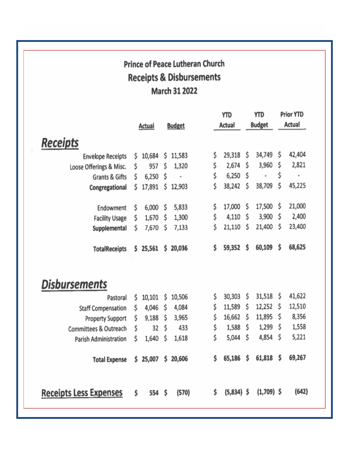## **Prince of Peace Lutheran Church Receipts & Disbursements March 31 2022**

|                               |    |               |                      | YTD |              | ytd |               | <b>Prior YTD</b> |                |
|-------------------------------|----|---------------|----------------------|-----|--------------|-----|---------------|------------------|----------------|
|                               |    | <b>Actual</b> | <b>Budget</b>        |     | Actual       |     | <b>Budget</b> |                  | Actual         |
|                               |    |               |                      |     |              |     |               |                  |                |
| <u>Receipts</u>               |    |               |                      |     |              |     |               |                  |                |
| <b>Envelope Receipts</b>      | \$ | 10,684        | \$<br>11,583         | \$  | 29,318       | \$  | 34,749        | \$               | 42,404         |
| Loose Offerings & Misc.       | Ŝ  | 957           | \$<br>1,320          | \$  | 2,674        | \$  | 3,960         | \$               | 2,821          |
| <b>Grants &amp; Gifts</b>     | Ś  | 6,250         | \$<br>$\blacksquare$ | \$  | 6,250        | \$  | ۰             | \$               | $\blacksquare$ |
| Congregational                | \$ | 17,891        | \$<br>12,903         | \$  | 38,242       | \$  | 38,709        | \$               | 45,225         |
|                               |    |               |                      |     |              |     |               |                  |                |
| Endowment                     | \$ | 6,000         | \$<br>5,833          | \$  | 17,000       | \$  | 17,500        | \$               | 21,000         |
| <b>Facility Usage</b>         | \$ | 1,670         | \$<br>1,300          | \$  | 4,110        | \$  | 3,900         | \$               | 2,400          |
| Supplemental                  | Ś  | 7,670         | \$<br>7,133          | \$  | 21,110       | \$  | 21,400        | \$               | 23,400         |
|                               |    |               |                      |     |              |     |               |                  |                |
| <b>TotalReceipts</b>          | \$ | 25,561        | \$20,036             | \$  | 59,352       | \$  | 60,109        | \$               | 68,625         |
|                               |    |               |                      |     |              |     |               |                  |                |
|                               |    |               |                      |     |              |     |               |                  |                |
|                               |    |               |                      |     |              |     |               |                  |                |
| Disbursements                 |    |               |                      |     |              |     |               |                  |                |
| Pastoral                      | \$ | 10,101        | \$<br>10,506         | \$  | 30,303       | \$  | 31,518        | \$               | 41,622         |
| <b>Staff Compensation</b>     | \$ | 4,046         | \$<br>4,084          | \$  | 11,589       | \$  | 12,252        | \$               | 12,510         |
| <b>Property Support</b>       | \$ | 9,188         | \$<br>3,965          | \$  | 16,662       | \$  | 11,895        | \$               | 8,356          |
| Committees & Outreach         | \$ | 32            | \$<br>433            | \$  | 1,588        | \$  | 1,299         | \$               | 1,558          |
| Parish Administration         | \$ | 1,640         | \$<br>1,618          | \$  | 5,044        | \$  | 4,854         | \$               | 5,221          |
|                               |    |               |                      |     |              |     |               |                  |                |
| <b>Total Expense</b>          | \$ | 25,007        | \$<br>20,606         | \$  | 65,186       | \$  | 61,818        | \$               | 69,267         |
|                               |    |               |                      |     |              |     |               |                  |                |
|                               |    |               |                      |     |              |     |               |                  |                |
| <b>Receipts Less Expenses</b> | \$ | 554           | \$<br>(570)          | \$  | $(5,834)$ \$ |     | $(1,709)$ \$  |                  | (642)          |
|                               |    |               |                      |     |              |     |               |                  |                |
|                               |    |               |                      |     |              |     |               |                  |                |